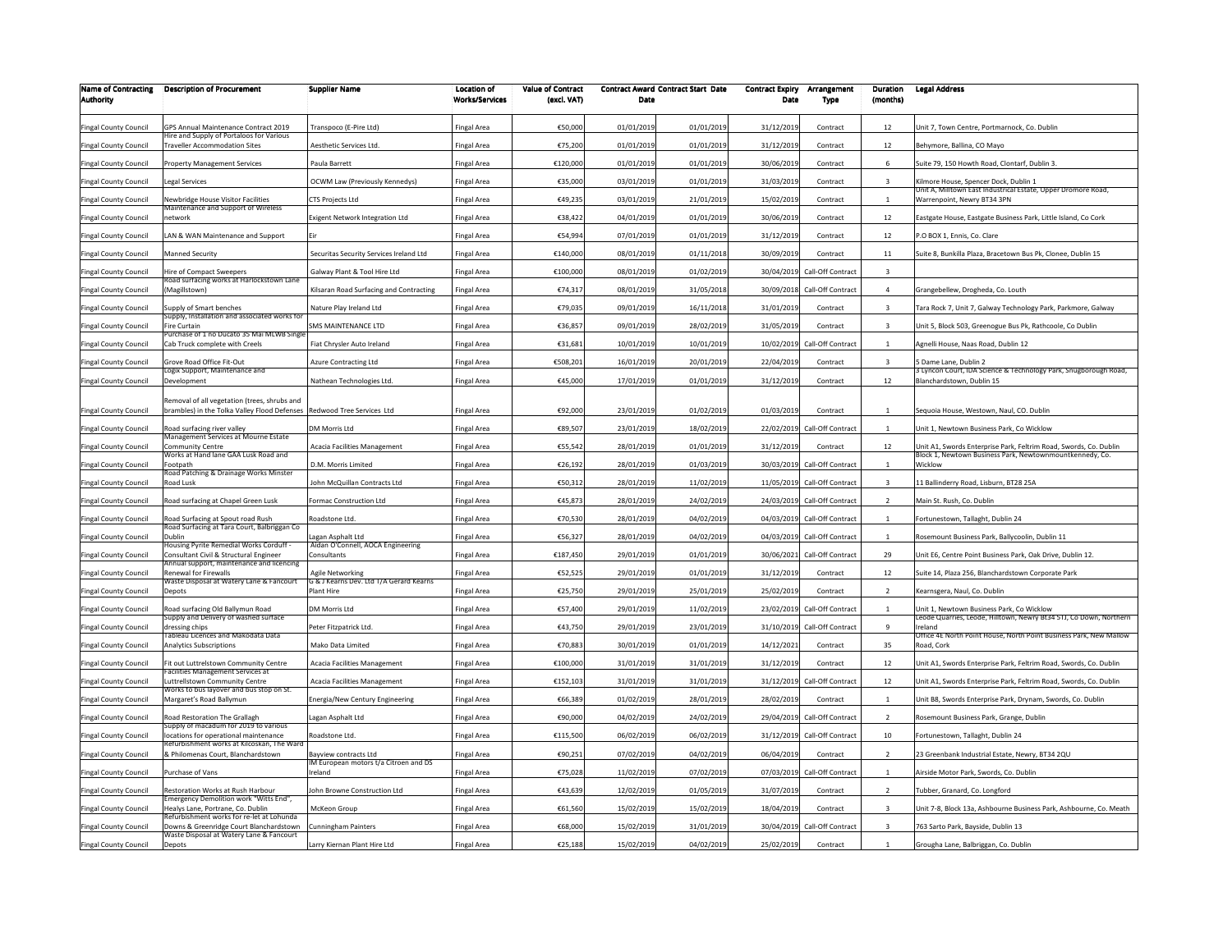| <b>Name of Contracting</b><br><b>Authority</b> | <b>Description of Procurement</b>                                                                                      | <b>Supplier Name</b>                                         | Location of<br><b>Works/Services</b> | <b>Value of Contract</b><br>(excl. VAT) | Date       | <b>Contract Award Contract Start Date</b> | <b>Contract Expiry</b><br>Date | Arrangement<br>Type          | Duration<br>(months)    | <b>Legal Address</b>                                                                                                          |
|------------------------------------------------|------------------------------------------------------------------------------------------------------------------------|--------------------------------------------------------------|--------------------------------------|-----------------------------------------|------------|-------------------------------------------|--------------------------------|------------------------------|-------------------------|-------------------------------------------------------------------------------------------------------------------------------|
| Fingal County Council                          | <b>GPS Annual Maintenance Contract 2019</b>                                                                            | Transpoco (E-Pire Ltd)                                       | <b>Fingal Area</b>                   | €50,000                                 | 01/01/2019 | 01/01/2019                                | 31/12/2019                     | Contract                     | 12                      | Jnit 7, Town Centre, Portmarnock, Co. Dublin                                                                                  |
| Fingal County Council                          | lire and Supply of Portaloos for Various<br>raveller Accommodation Sites                                               | Aesthetic Services Ltd.                                      | <b>Fingal Area</b>                   | €75,200                                 | 01/01/2019 | 01/01/2019                                | 31/12/2019                     | Contract                     | 12                      | Behymore, Ballina, CO Mayo                                                                                                    |
| Fingal County Council                          | Property Management Services                                                                                           | Paula Barrett                                                | <b>Fingal Area</b>                   | €120,000                                | 01/01/2019 | 01/01/2019                                | 30/06/2019                     | Contract                     | -6                      | Suite 79, 150 Howth Road, Clontarf, Dublin 3                                                                                  |
| Fingal County Council                          | egal Services                                                                                                          | OCWM Law (Previously Kennedys)                               | <b>Fingal Area</b>                   | €35,000                                 | 03/01/2019 | 01/01/2019                                | 31/03/2019                     | Contract                     | $\overline{3}$          | Kilmore House, Spencer Dock, Dublin 1                                                                                         |
| Fingal County Council                          | lewbridge House Visitor Facilities                                                                                     | <b>CTS Projects Ltd</b>                                      | <b>Fingal Area</b>                   | €49,235                                 | 03/01/2019 | 21/01/2019                                | 15/02/2019                     | Contract                     | $\mathbf{1}$            | Unit A, Milltown East Industrical Estate, Upper Dromore Road,<br>Warrenpoint, Newry BT34 3PN                                  |
| Fingal County Council                          | Maintenance and Support of Wireless<br>etwork                                                                          | Exigent Network Integration Ltd                              | <b>Fingal Area</b>                   | €38,422                                 | 04/01/2019 | 01/01/2019                                | 30/06/2019                     | Contract                     | 12                      | Eastgate House, Eastgate Business Park, Little Island, Co Cork                                                                |
| Fingal County Council                          | AN & WAN Maintenance and Support                                                                                       | Eir                                                          | <b>Fingal Area</b>                   | €54,994                                 | 07/01/2019 | 01/01/2019                                | 31/12/2019                     | Contract                     | 12                      | P.O BOX 1, Ennis, Co. Clare                                                                                                   |
| <b>Fingal County Council</b>                   | <b>Manned Security</b>                                                                                                 | Securitas Security Services Ireland Ltd                      | <b>Fingal Area</b>                   | €140,000                                | 08/01/2019 | 01/11/2018                                | 30/09/2019                     | Contract                     | $11\,$                  | Suite 8, Bunkilla Plaza, Bracetown Bus Pk, Clonee, Dublin 15                                                                  |
| Fingal County Council                          | Hire of Compact Sweepers                                                                                               | Galway Plant & Tool Hire Ltd                                 | <b>Fingal Area</b>                   | €100,000                                | 08/01/2019 | 01/02/2019                                |                                | 30/04/2019 Call-Off Contract | $\overline{\mathbf{3}}$ |                                                                                                                               |
| ingal County Council                           | toad surfacing works at Harlockstown Lane<br>Magillstown)                                                              | Kilsaran Road Surfacing and Contracting                      | <b>Fingal Area</b>                   | €74,31                                  | 08/01/2019 | 31/05/2018                                | 30/09/2018                     | Call-Off Contract            | $\overline{4}$          | Grangebellew, Drogheda, Co. Louth                                                                                             |
| ingal County Council                           | upply of Smart benches                                                                                                 | Nature Play Ireland Ltd                                      | <b>Fingal Area</b>                   | €79,035                                 | 09/01/2019 | 16/11/2018                                | 31/01/2019                     | Contract                     | 3                       | Fara Rock 7, Unit 7, Galway Technology Park, Parkmore, Galway                                                                 |
| ingal County Council                           | Supply, Installation and associated works fo<br>Fire Curtair                                                           | SMS MAINTENANCE LTD                                          | <b>Fingal Area</b>                   | €36,857                                 | 09/01/2019 | 28/02/2019                                | 31/05/2019                     | Contract                     | 3                       | Jnit 5, Block 503, Greenogue Bus Pk, Rathcoole, Co Dublin                                                                     |
| Fingal County Council                          | Purchase of 1 no Ducato 35 Mai MLWB Single<br>Cab Truck complete with Creels                                           | Fiat Chrysler Auto Ireland                                   | <b>Fingal Area</b>                   | €31,681                                 | 10/01/2019 | 10/01/2019                                | 10/02/2019                     | Call-Off Contract            | $\overline{1}$          | Agnelli House, Naas Road, Dublin 12                                                                                           |
| <b>Fingal County Council</b>                   | Grove Road Office Fit-Out                                                                                              | Azure Contracting Ltd                                        | <b>Fingal Area</b>                   | €508,201                                | 16/01/2019 | 20/01/2019                                | 22/04/2019                     | Contract                     | $\overline{\mathbf{3}}$ | 5 Dame Lane, Dublin 2                                                                                                         |
| Fingal County Council                          | ogix Support, Maintenance and<br><b>Development</b>                                                                    | Nathean Technologies Ltd.                                    | <b>Fingal Area</b>                   | €45,000                                 | 17/01/2019 | 01/01/2019                                | 31/12/2019                     | Contract                     | 12                      | 3 Lyncon Court, IDA Science & Technology Park, Snugborough Road,<br>Blanchardstown, Dublin 15                                 |
|                                                |                                                                                                                        |                                                              |                                      |                                         |            |                                           |                                |                              |                         |                                                                                                                               |
| <b>Fingal County Council</b>                   | Removal of all vegetation (trees, shrubs and<br>brambles) in the Tolka Valley Flood Defenses Redwood Tree Services Ltd |                                                              | <b>Fingal Area</b>                   | €92.000                                 | 23/01/2019 | 01/02/2019                                | 01/03/2019                     | Contract                     | $\overline{1}$          | Seguoia House, Westown, Naul, CO, Dublin                                                                                      |
| Fingal County Council                          | Road surfacing river valley<br><b>Management Services at Mourne Estate</b>                                             | DM Morris Ltd                                                | <b>Fingal Area</b>                   | €89,507                                 | 23/01/2019 | 18/02/2019                                |                                | 22/02/2019 Call-Off Contract | $\overline{1}$          | Jnit 1, Newtown Business Park, Co Wicklow                                                                                     |
| Fingal County Council                          | Community Centre<br>Vorks at Hand lane GAA Lusk Road and                                                               | Acacia Facilities Management                                 | <b>Fingal Area</b>                   | €55,542                                 | 28/01/2019 | 01/01/2019                                | 31/12/2019                     | Contract                     | 12                      | Jnit A1, Swords Enterprise Park, Feltrim Road, Swords, Co. Dublin<br>Block 1, Newtown Business Park, Newtownmountkennedy, Co. |
| Fingal County Council                          | ootpath                                                                                                                | D.M. Morris Limited                                          | <b>Fingal Area</b>                   | €26,192                                 | 28/01/2019 | 01/03/2019                                |                                | 30/03/2019 Call-Off Contract | 1                       | Wicklow                                                                                                                       |
| Fingal County Council                          | Road Patching & Drainage Works Minster<br>Road Lusk                                                                    | John McQuillan Contracts Ltd                                 | <b>Fingal Area</b>                   | €50,312                                 | 28/01/2019 | 11/02/2019                                |                                | 11/05/2019 Call-Off Contract | $\overline{\mathbf{3}}$ | 11 Ballinderry Road, Lisburn, BT28 25A                                                                                        |
| <b>Fingal County Council</b>                   | Road surfacing at Chapel Green Lusk                                                                                    | Formac Construction Ltd                                      | <b>Fingal Area</b>                   | €45,873                                 | 28/01/2019 | 24/02/2019                                |                                | 24/03/2019 Call-Off Contract | $\overline{2}$          | Main St. Rush, Co. Dublin                                                                                                     |
| <b>Fingal County Council</b>                   | Road Surfacing at Spout road Rush                                                                                      | Roadstone Ltd.                                               | <b>Fingal Area</b>                   | €70,530                                 | 28/01/2019 | 04/02/2019                                |                                | 04/03/2019 Call-Off Contract | $\mathbf{1}$            | Fortunestown, Tallaght, Dublin 24                                                                                             |
| Fingal County Council                          | Road Surfacing at Tara Court, Balbriggan Co<br>Dublin                                                                  | Lagan Asphalt Ltd                                            | <b>Fingal Area</b>                   | €56,327                                 | 28/01/2019 | 04/02/2019                                | 04/03/2019                     | Call-Off Contract            | $\overline{1}$          | Rosemount Business Park, Ballycoolin, Dublin 11                                                                               |
| ingal County Council                           | - Housing Pyrite Remedial Works Corduff<br>Consultant Civil & Structural Engineer                                      | Aidan O'Connell, AOCA Engineering<br>Consultants             | <b>Fingal Area</b>                   | €187,450                                | 29/01/2019 | 01/01/2019                                |                                | 30/06/2021 Call-Off Contract | 29                      | Jnit E6, Centre Point Business Park, Oak Drive, Dublin 12.                                                                    |
| Fingal County Council                          | nnual support, maintenance and licencing<br>Renewal for Firewalls                                                      | Agile Networking                                             | <b>Fingal Area</b>                   | €52,525                                 | 29/01/2019 | 01/01/2019                                | 31/12/2019                     | Contract                     | 12                      | Suite 14, Plaza 256, Blanchardstown Corporate Park                                                                            |
| Fingal County Council                          | Waste Disposal at Watery Lane & Fancourt<br>Depots                                                                     | G & J Kearns Dev. Ltd T/A Gerard Kearns<br><b>Plant Hire</b> | <b>Fingal Area</b>                   | €25,750                                 | 29/01/2019 | 25/01/2019                                | 25/02/2019                     | Contract                     | $\overline{2}$          | Kearnsgera, Naul, Co. Dublin                                                                                                  |
| Fingal County Council                          | Road surfacing Old Ballymun Road                                                                                       | DM Morris Ltd                                                | <b>Fingal Area</b>                   | €57,400                                 | 29/01/2019 | 11/02/2019                                | 23/02/2019                     | Call-Off Contract            |                         | Jnit 1, Newtown Business Park, Co Wicklow                                                                                     |
| Fingal County Council                          | supply and Delivery of washed surface<br>ressing chips                                                                 | Peter Fitzpatrick Ltd.                                       | <b>Fingal Area</b>                   | €43,750                                 | 29/01/2019 | 23/01/2019                                |                                | 31/10/2019 Call-Off Contract | $\mathbf{q}$            | eode Quarries, Leode, Hilltown, Newry Bt34 5TJ, Co Down, Northern<br>reland                                                   |
| <b>Fingal County Council</b>                   | ableau Licences and Makodata Data<br>Analytics Subscriptions                                                           | Mako Data Limited                                            | <b>Fingal Area</b>                   | €70,883                                 | 30/01/2019 | 01/01/2019                                | 14/12/2021                     | Contract                     | 35                      | Office 4E North Point House, North Point Business Park, New Mallow<br>Road, Cork                                              |
| Fingal County Council                          | Fit out Luttrelstown Community Centre<br>acilities Management Services at                                              | Acacia Facilities Management                                 | <b>Fingal Area</b>                   | €100,000                                | 31/01/2019 | 31/01/2019                                | 31/12/2019                     | Contract                     | 12                      | Jnit A1, Swords Enterprise Park, Feltrim Road, Swords, Co. Dublin                                                             |
| Fingal County Council                          | uttrellstown Community Centre                                                                                          | Acacia Facilities Management                                 | <b>Fingal Area</b>                   | €152,103                                | 31/01/2019 | 31/01/2019                                | 31/12/2019                     | Call-Off Contract            | 12                      | Jnit A1, Swords Enterprise Park, Feltrim Road, Swords, Co. Dublin                                                             |
| Fingal County Council                          | Norks to bus layover and bus stop on St.<br>Margaret's Road Ballymun                                                   | Energia/New Century Engineering                              | <b>Fingal Area</b>                   | €66,389                                 | 01/02/2019 | 28/01/2019                                | 28/02/2019                     | Contract                     | 1                       | Jnit B8, Swords Enterprise Park, Drynam, Swords, Co. Dublin                                                                   |
| <b>Fingal County Council</b>                   | Road Restoration The Grallagh<br>supply of macadum for 2019 to various                                                 | Lagan Asphalt Ltd                                            | <b>Fingal Area</b>                   | €90,000                                 | 04/02/2019 | 24/02/2019                                |                                | 29/04/2019 Call-Off Contract | $\overline{z}$          | Rosemount Business Park, Grange, Dublin                                                                                       |
| Fingal County Council                          | locations for operational maintenance<br>Refurbishment works at Kilcoskan. The Ward                                    | Roadstone Ltd.                                               | <b>Fingal Area</b>                   | €115,500                                | 06/02/2019 | 06/02/2019                                | 31/12/2019                     | Call-Off Contract            | $10\,$                  | ortunestown, Tallaght, Dublin 24                                                                                              |
| <b>Fingal County Council</b>                   | & Philomenas Court, Blanchardstown                                                                                     | Bavview contracts Ltd                                        | <b>Fingal Area</b>                   | €90,251                                 | 07/02/2019 | 04/02/2019                                | 06/04/2019                     | Contract                     | $\overline{z}$          | 23 Greenbank Industrial Estate, Newry, BT34 2QU                                                                               |
| <b>Fingal County Council</b>                   | Purchase of Vans                                                                                                       | IM European motors t/a Citroen and DS<br>Ireland             | <b>Fingal Area</b>                   | €75,028                                 | 11/02/2019 | 07/02/2019                                |                                | 07/03/2019 Call-Off Contract | $\overline{1}$          | Airside Motor Park, Swords, Co. Dublin                                                                                        |
| <b>Fingal County Council</b>                   | Restoration Works at Rush Harbour                                                                                      | John Browne Construction Ltd                                 | <b>Fingal Area</b>                   | €43,639                                 | 12/02/2019 | 01/05/2019                                | 31/07/2019                     | Contract                     | $\overline{2}$          | Fubber, Granard, Co. Longford                                                                                                 |
| Fingal County Council                          | Emergency Demolition work "Witts End".<br>Healys Lane, Portrane, Co. Dublin                                            | McKeon Group                                                 | <b>Fingal Area</b>                   | €61,560                                 | 15/02/2019 | 15/02/2019                                | 18/04/2019                     | Contract                     | $\overline{\mathbf{3}}$ | Unit 7-8, Block 13a, Ashbourne Business Park, Ashbourne, Co. Meath                                                            |
| <b>Fingal County Council</b>                   | eturbishment works for re-let at Lohunda<br>Downs & Greenridge Court Blanchardstown                                    | <b>Cunningham Painters</b>                                   | <b>Fingal Area</b>                   | €68,000                                 | 15/02/2019 | 31/01/2019                                | 30/04/2019                     | Call-Off Contract            | $\overline{\mathbf{3}}$ | 763 Sarto Park, Bayside, Dublin 13                                                                                            |
| <b>Fingal County Council</b>                   | Waste Disposal at Watery Lane & Fancourt<br><b>Depots</b>                                                              | Larry Kiernan Plant Hire Ltd                                 | <b>Fingal Area</b>                   | €25,188                                 | 15/02/2019 | 04/02/2019                                | 25/02/2019                     | Contract                     | 1                       | Grougha Lane, Balbriggan, Co. Dublin                                                                                          |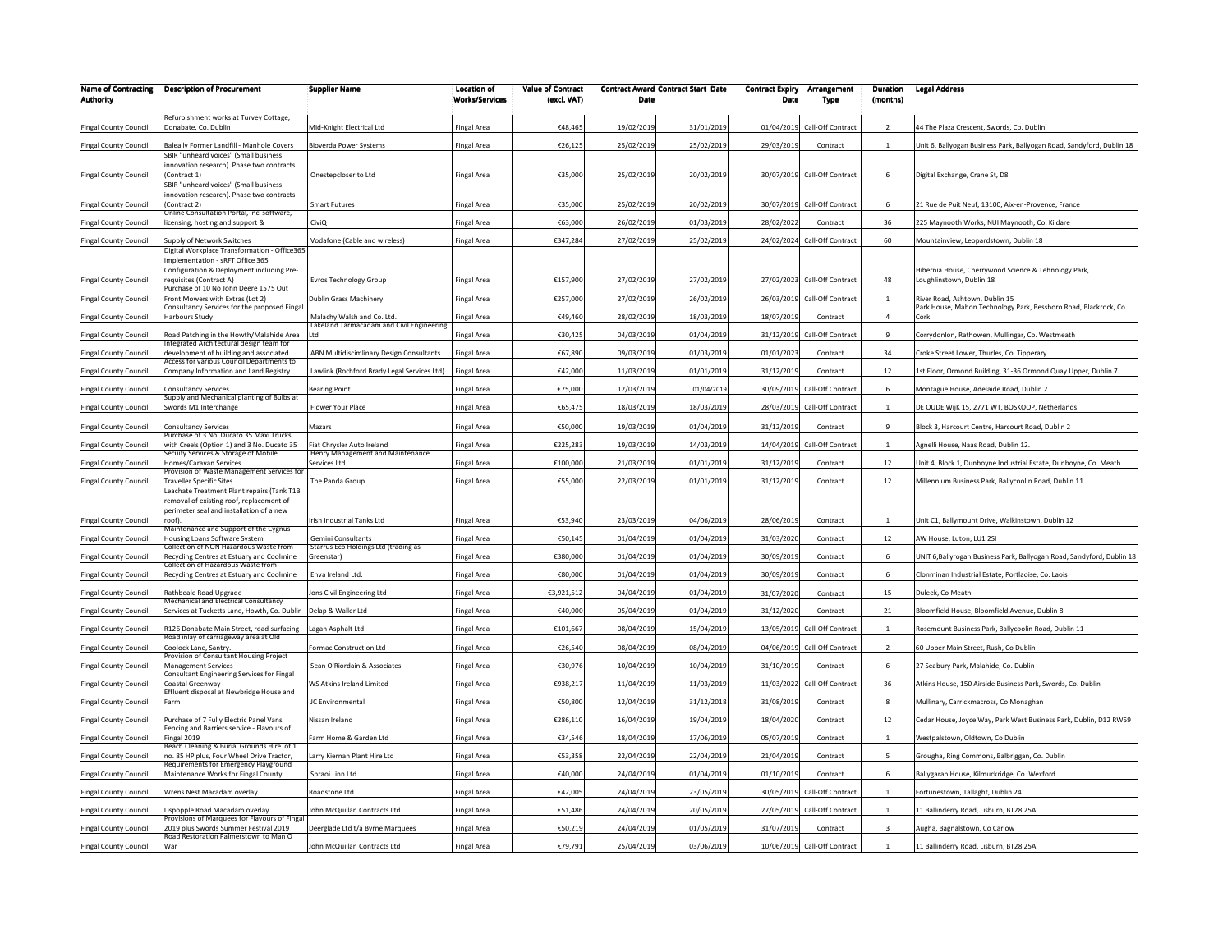| <b>Name of Contracting</b>   | <b>Description of Procurement</b>                                                    | <b>Supplier Name</b>                                                    | <b>Location of</b>    | <b>Value of Contract</b> | Date       | <b>Contract Award Contract Start Date</b> | <b>Contract Expiry</b> | Arrangement                  | Duration                | <b>Legal Address</b>                                                                               |
|------------------------------|--------------------------------------------------------------------------------------|-------------------------------------------------------------------------|-----------------------|--------------------------|------------|-------------------------------------------|------------------------|------------------------------|-------------------------|----------------------------------------------------------------------------------------------------|
| <b>Authority</b>             |                                                                                      |                                                                         | <b>Works/Services</b> | (excl. VAT)              |            |                                           | Date                   | Type                         | (months)                |                                                                                                    |
| Fingal County Council        | Refurbishment works at Turvey Cottage,<br>Donabate, Co. Dublin                       | Mid-Knight Electrical Ltd                                               | Fingal Area           | €48,465                  | 19/02/2019 | 31/01/2019                                |                        | 01/04/2019 Call-Off Contract | $\overline{2}$          | 44 The Plaza Crescent, Swords, Co. Dublin                                                          |
| Fingal County Council        | Baleally Former Landfill - Manhole Covers                                            | Bioverda Power Systems                                                  | Fingal Area           | €26,125                  | 25/02/2019 | 25/02/2019                                | 29/03/2019             | Contract                     | $\overline{1}$          | Init 6, Ballyogan Business Park, Ballyogan Road, Sandyford, Dublin 18                              |
|                              | SBIR "unheard voices" (Small business<br>nnovation research). Phase two contracts    |                                                                         |                       |                          |            |                                           |                        |                              |                         |                                                                                                    |
| Fingal County Council        | Contract 1)                                                                          | Onestepcloser.to Ltd                                                    | Fingal Area           | €35,000                  | 25/02/2019 | 20/02/2019                                |                        | 30/07/2019 Call-Off Contract | 6                       | Digital Exchange, Crane St, D8                                                                     |
|                              | SBIR "unheard voices" (Small business<br>innovation research). Phase two contracts   |                                                                         |                       |                          |            |                                           |                        |                              |                         |                                                                                                    |
| Fingal County Council        | (Contract 2)<br>Online Consultation Portal, incl software,                           | Smart Futures                                                           | Fingal Area           | €35,000                  | 25/02/2019 | 20/02/2019                                |                        | 30/07/2019 Call-Off Contract | 6                       | 21 Rue de Puit Neuf, 13100, Aix-en-Provence, France                                                |
| Fingal County Council        | icensing, hosting and support &                                                      | CiviO                                                                   | Fingal Area           | €63,000                  | 26/02/2019 | 01/03/2019                                | 28/02/2022             | Contract                     | 36                      | 225 Maynooth Works, NUI Maynooth, Co. Kildare                                                      |
| <b>Fingal County Council</b> | Supply of Network Switches                                                           | Vodafone (Cable and wireless)                                           | Fingal Area           | €347,284                 | 27/02/2019 | 25/02/2019                                |                        | 24/02/2024 Call-Off Contract | 60                      | Mountainview, Leopardstown, Dublin 18                                                              |
|                              | Digital Workplace Transformation - Office365<br>Implementation - sRFT Office 365     |                                                                         |                       |                          |            |                                           |                        |                              |                         |                                                                                                    |
|                              | Configuration & Deployment including Pre-                                            |                                                                         |                       |                          |            |                                           |                        |                              |                         | Hibernia House, Cherrywood Science & Tehnology Park,                                               |
| Fingal County Council        | equisites (Contract A)<br>urchase of 10 No John Deere 1575 Out                       | Evros Technology Group                                                  | Fingal Area           | €157,900                 | 27/02/2019 | 27/02/2019                                |                        | 27/02/2023 Call-Off Contract | 48                      | Loughlinstown, Dublin 18                                                                           |
| Fingal County Council        | Front Mowers with Extras (Lot 2)<br>Consultancy Services for the proposed Fingal     | Dublin Grass Machinery                                                  | Fingal Area           | €257,000                 | 27/02/2019 | 26/02/2019                                | 26/03/2019             | Call-Off Contract            |                         | River Road, Ashtown, Dublin 15<br>Park House, Mahon Technology Park, Bessboro Road, Blackrock, Co. |
| Fingal County Council        | Harbours Study                                                                       | Malachy Walsh and Co. Ltd.<br>Lakeland Tarmacadam and Civil Engineering | Fingal Area           | €49,460                  | 28/02/2019 | 18/03/2019                                | 18/07/2019             | Contract                     | $\overline{4}$          |                                                                                                    |
| Fingal County Council        | Road Patching in the Howth/Malahide Area<br>ntegrated Architectural design team for  |                                                                         | Fingal Area           | €30,425                  | 04/03/2019 | 01/04/2019                                | 31/12/2019             | Call-Off Contract            | 9                       | Corrydonlon, Rathowen, Mullingar, Co. Westmeath                                                    |
| Fingal County Council        | development of building and associated<br>Access for various Council Departments to  | ABN Multidiscimlinary Design Consultants                                | Fingal Area           | €67,890                  | 09/03/2019 | 01/03/2019                                | 01/01/2023             | Contract                     | 34                      | Croke Street Lower, Thurles, Co. Tipperary                                                         |
| Fingal County Council        | Company Information and Land Registry                                                | Lawlink (Rochford Brady Legal Services Ltd)                             | Fingal Area           | €42,000                  | 11/03/2019 | 01/01/2019                                | 31/12/2019             | Contract                     | 12                      | 1st Floor, Ormond Building, 31-36 Ormond Quay Upper, Dublin 7                                      |
| Fingal County Council        | onsultancy Services                                                                  | <b>Bearing Point</b>                                                    | Fingal Area           | €75,000                  | 12/03/2019 | 01/04/2019                                | 30/09/2019             | Call-Off Contract            | 6                       | Montague House, Adelaide Road, Dublin 2                                                            |
| Fingal County Council        | Supply and Mechanical planting of Bulbs at<br>Swords M1 Interchange                  | Flower Your Place                                                       | Fingal Area           | €65,475                  | 18/03/2019 | 18/03/2019                                | 28/03/2019             | Call-Off Contract            |                         | E OUDE WijK 15, 2771 WT, BOSKOOP, Netherlands                                                      |
| Fingal County Council        | Consultancy Services                                                                 | Mazars                                                                  | Fingal Area           | €50,000                  | 19/03/2019 | 01/04/2019                                | 31/12/2019             | Contract                     | $\mathbf{q}$            | Block 3, Harcourt Centre, Harcourt Road, Dublin 2                                                  |
| Fingal County Council        | urchase of 3 No. Ducato 35 Maxi Truck:<br>with Creels (Option 1) and 3 No. Ducato 35 | Fiat Chrysler Auto Ireland                                              | Fingal Area           | €225,283                 | 19/03/2019 | 14/03/2019                                | 14/04/2019             | Call-Off Contract            | $\mathbf{1}$            | Agnelli House, Naas Road, Dublin 12.                                                               |
| Fingal County Council        | Secuity Services & Storage of Mobile<br>Homes/Caravan Services                       | Henry Management and Maintenance<br>Services Ltd                        | Fingal Area           | €100,000                 | 21/03/2019 | 01/01/2019                                | 31/12/2019             | Contract                     | 12                      | Jnit 4, Block 1, Dunboyne Industrial Estate, Dunboyne, Co. Meath                                   |
|                              | rovision of Waste Management Services fo                                             |                                                                         |                       |                          |            |                                           |                        |                              |                         |                                                                                                    |
| Fingal County Council        | Fraveller Specific Sites<br>Leachate Treatment Plant repairs (Tank T1B               | The Panda Group                                                         | Fingal Area           | €55,000                  | 22/03/2019 | 01/01/2019                                | 31/12/2019             | Contract                     | 12                      | Millennium Business Park, Ballycoolin Road, Dublin 11                                              |
|                              | emoval of existing roof, replacement of<br>perimeter seal and installation of a new  |                                                                         |                       |                          |            |                                           |                        |                              |                         |                                                                                                    |
| Fingal County Council        | roof).                                                                               | Irish Industrial Tanks Ltd                                              | Fingal Area           | €53.940                  | 23/03/2019 | 04/06/2019                                | 28/06/2019             | Contract                     |                         | Jnit C1, Ballymount Drive, Walkinstown, Dublin 12                                                  |
| Fingal County Council        | Maintenance and Support of the Cygnus<br>Housing Loans Software System               | Gemini Consultants                                                      | Fingal Area           | €50,145                  | 01/04/2019 | 01/04/2019                                | 31/03/2020             | Contract                     | 12                      | AW House, Luton, LU1 2SI                                                                           |
| ingal County Council         | Collection of NON Hazardous Waste from<br>Recycling Centres at Estuary and Coolmine  | Starrus Eco Holdings Ltd (trading as<br>Greenstar)                      | Fingal Area           | €380,000                 | 01/04/2019 | 01/04/2019                                | 30/09/2019             | Contract                     | 6                       | JNIT 6, Ballyrogan Business Park, Ballyogan Road, Sandyford, Dublin 18                             |
| <b>Fingal County Council</b> | collection of Hazardous Waste from<br>Recycling Centres at Estuary and Coolmine      | Enva Ireland Ltd.                                                       | Fingal Area           | €80,000                  | 01/04/2019 | 01/04/2019                                | 30/09/2019             | Contract                     | 6                       | Ionminan Industrial Estate, Portlaoise, Co. Laois                                                  |
| Fingal County Council        | Rathbeale Road Upgrade                                                               | Jons Civil Engineering Ltd                                              | Fingal Area           | €3,921,512               | 04/04/2019 | 01/04/2019                                | 31/07/2020             | Contract                     | 15                      | Duleek, Co Meath                                                                                   |
|                              | Mechanical and Electrical Consultancy                                                |                                                                         |                       |                          |            |                                           |                        |                              |                         |                                                                                                    |
| Fingal County Council        | Services at Tucketts Lane, Howth, Co. Dublin                                         | Delap & Waller Ltd                                                      | Fingal Area           | €40,000                  | 05/04/2019 | 01/04/2019                                | 31/12/2020             | Contract                     | 21                      | Bloomfield House, Bloomfield Avenue, Dublin 8                                                      |
| Fingal County Council        | R126 Donabate Main Street, road surfacing<br>Road inlay of carriageway area at Old   | Lagan Asphalt Ltd                                                       | Fingal Area           | €101,667                 | 08/04/2019 | 15/04/2019                                |                        | 13/05/2019 Call-Off Contract |                         | Rosemount Business Park, Ballycoolin Road, Dublin 11                                               |
| <b>Fingal County Council</b> | coolock Lane, Santry.<br>rovision of Consultant Housing Project                      | Formac Construction Ltd                                                 | Fingal Area           | €26,540                  | 08/04/2019 | 08/04/2019                                |                        | 04/06/2019 Call-Off Contract | $\overline{2}$          | 50 Upper Main Street, Rush, Co Dublin                                                              |
| Fingal County Council        | <b>Management Services</b><br>Consultant Engineering Services for Fingal             | Sean O'Riordain & Associates                                            | Fingal Area           | €30,976                  | 10/04/2019 | 10/04/2019                                | 31/10/2019             | Contract                     | 6                       | 27 Seabury Park, Malahide, Co. Dublin                                                              |
| Fingal County Council        | Coastal Greenway<br><b>Effluent disposal at Newbridge House and</b>                  | WS Atkins Ireland Limited                                               | Fingal Area           | €938,211                 | 11/04/2019 | 11/03/2019                                | 11/03/2022             | Call-Off Contract            | 36                      | Atkins House, 150 Airside Business Park, Swords, Co. Dublin                                        |
| Fingal County Council        | arm                                                                                  | JC Environmental                                                        | Fingal Area           | €50,800                  | 12/04/2019 | 31/12/2018                                | 31/08/2019             | Contract                     | 8                       | Mullinary, Carrickmacross, Co Monaghan                                                             |
| Fingal County Council        | Purchase of 7 Fully Electric Panel Vans<br>encing and Barriers service - Flavours of | Nissan Ireland                                                          | Fingal Area           | €286,110                 | 16/04/2019 | 19/04/2019                                | 18/04/2020             | Contract                     | 12                      | Cedar House, Joyce Way, Park West Business Park, Dublin, D12 RW59                                  |
| Fingal County Council        | ingal 2019<br>Beach Cleaning & Burial Grounds Hire of 1                              | Farm Home & Garden Ltd                                                  | Fingal Area           | €34,546                  | 18/04/2019 | 17/06/2019                                | 05/07/2019             | Contract                     | $\mathbf{1}$            | Westpalstown, Oldtown, Co Dublin                                                                   |
| Fingal County Council        | 10.85 HP plus, Four Wheel Drive Tractor,<br>Requirements for Emergency Playground    | Larry Kiernan Plant Hire Ltd                                            | Fingal Area           | €53,358                  | 22/04/2019 | 22/04/2019                                | 21/04/2019             | Contract                     | 5                       | Grougha, Ring Commons, Balbriggan, Co. Dublin                                                      |
| Fingal County Council        | Maintenance Works for Fingal County                                                  | Spraoi Linn Ltd.                                                        | Fingal Area           | €40,000                  | 24/04/2019 | 01/04/2019                                | 01/10/2019             | Contract                     | 6                       | Ballygaran House, Kilmuckridge, Co. Wexford                                                        |
| <b>Fingal County Council</b> | Wrens Nest Macadam overlav                                                           | Roadstone Ltd.                                                          | <b>Fingal Area</b>    | €42,005                  | 24/04/2019 | 23/05/2019                                |                        | 30/05/2019 Call-Off Contract | 1                       | Fortunestown, Tallaght, Dublin 24                                                                  |
| <b>Fingal County Council</b> | ispopple Road Macadam overlav<br>Provisions of Marquees for Flavours of Finga        | John McQuillan Contracts Ltd                                            | Fingal Area           | €51,486                  | 24/04/2019 | 20/05/2019                                |                        | 27/05/2019 Call-Off Contract | $\mathbf{1}$            | 1 Ballinderry Road, Lisburn, BT28 25A                                                              |
| <b>Fingal County Council</b> | 2019 plus Swords Summer Festival 2019<br>Road Restoration Palmerstown to Man O       | Deerglade Ltd t/a Byrne Marquees                                        | Fingal Area           | €50,219                  | 24/04/2019 | 01/05/2019                                | 31/07/2019             | Contract                     | $\overline{\mathbf{3}}$ | Augha, Bagnalstown, Co Carlow                                                                      |
| Fingal County Council        | War                                                                                  | John McQuillan Contracts Ltd                                            | <b>Fingal Area</b>    | €79,791                  | 25/04/2019 | 03/06/2019                                |                        | 10/06/2019 Call-Off Contract | $\mathbf{1}$            | 11 Ballinderry Road, Lisburn, BT28 25A                                                             |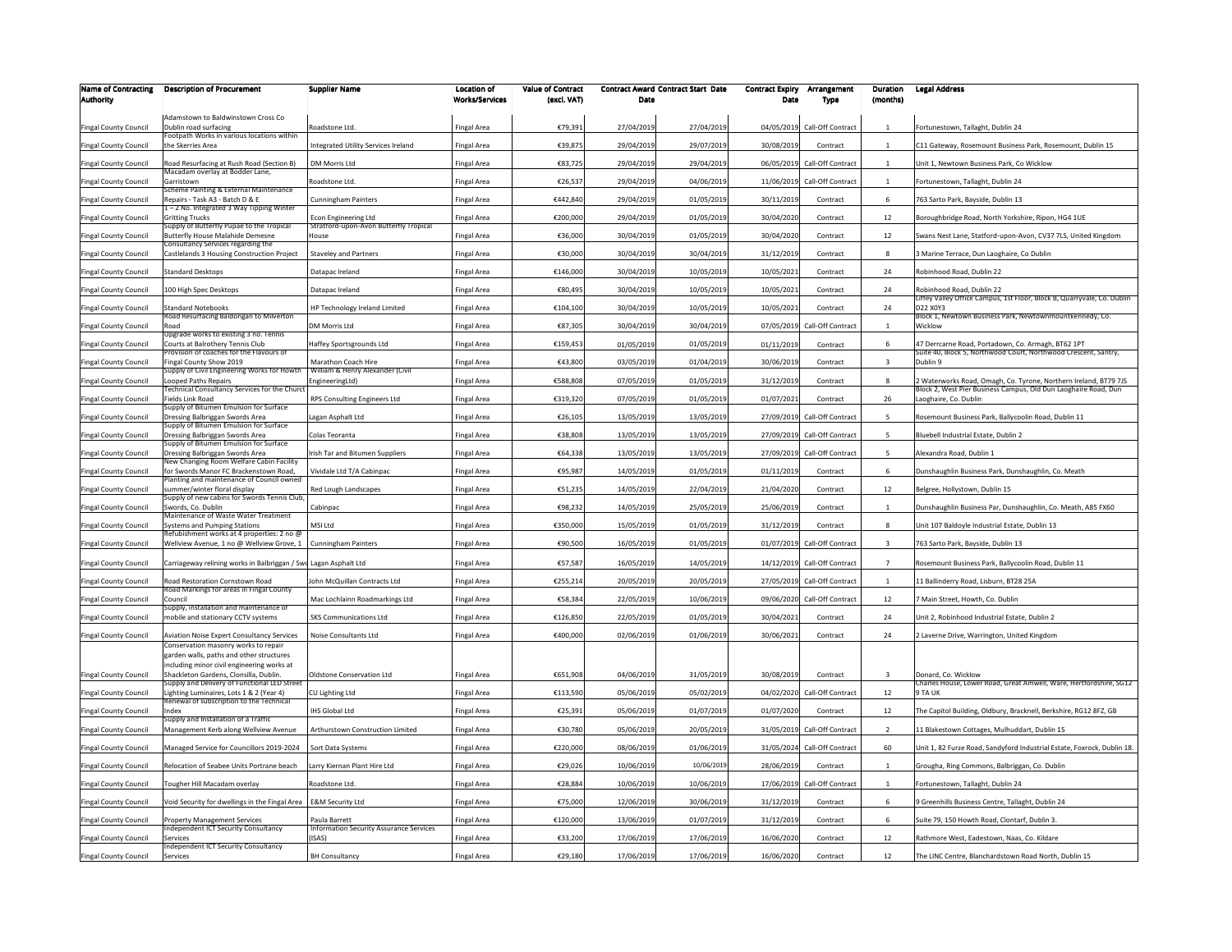| <b>Name of Contracting</b><br><b>Authority</b> | <b>Description of Procurement</b>                                                       | <b>Supplier Name</b>                                            | <b>Location of</b><br><b>Works/Services</b> | <b>Value of Contract</b><br>(excl. VAT) | Date       | <b>Contract Award Contract Start Date</b> | <b>Contract Expiry</b><br>Date | Arrangement                  | Duration<br>(months)    | <b>Legal Address</b>                                                                                 |
|------------------------------------------------|-----------------------------------------------------------------------------------------|-----------------------------------------------------------------|---------------------------------------------|-----------------------------------------|------------|-------------------------------------------|--------------------------------|------------------------------|-------------------------|------------------------------------------------------------------------------------------------------|
|                                                |                                                                                         |                                                                 |                                             |                                         |            |                                           |                                | Type                         |                         |                                                                                                      |
| <b>Fingal County Council</b>                   | Adamstown to Baldwinstown Cross Co<br>Dublin road surfacing                             | Roadstone Ltd.                                                  | Fingal Area                                 | €79,391                                 | 27/04/2019 | 27/04/2019                                | 04/05/2019                     | Call-Off Contract            | 1                       | Fortunestown, Tallaght, Dublin 24                                                                    |
| Fingal County Council                          | ootpath Works in various locations within<br>the Skerries Area                          | Integrated Utility Services Ireland                             | Fingal Area                                 | €39,875                                 | 29/04/2019 | 29/07/2019                                | 30/08/2019                     | Contract                     |                         | C11 Gateway, Rosemount Business Park, Rosemount, Dublin 15                                           |
| Fingal County Council                          | Road Resurfacing at Rush Road (Section B)                                               | DM Morris Ltd                                                   | Fingal Area                                 | €83,725                                 | 29/04/2019 | 29/04/2019                                |                                | 06/05/2019 Call-Off Contract | $\overline{1}$          | Jnit 1, Newtown Business Park, Co Wicklow                                                            |
| <b>Fingal County Council</b>                   | Macadam overlay at Bodder Lane,<br>Garristown                                           | Roadstone Ltd                                                   | Fingal Area                                 | €26,537                                 | 29/04/2019 | 04/06/2019                                | 11/06/2019                     | Call-Off Contract            | 1                       | Fortunestown, Tallaght, Dublin 24                                                                    |
| <b>Fingal County Council</b>                   | cheme Painting & External Maintenance<br>Repairs - Task A3 - Batch D & E                | <b>Cunningham Painters</b>                                      | Fingal Area                                 | €442,840                                | 29/04/2019 | 01/05/2019                                | 30/11/2019                     | Contract                     | 6                       | 763 Sarto Park, Bayside, Dublin 13                                                                   |
| Fingal County Council                          | - 2 No. Integrated 3 Way Tipping Winter<br><b>Gritting Trucks</b>                       | <b>Fron Engineering Ltd</b>                                     | Fingal Area                                 | €200,000                                | 29/04/2019 | 01/05/2019                                | 30/04/2020                     | Contract                     | 12                      | Boroughbridge Road, North Yorkshire, Ripon, HG4 1UE                                                  |
| <b>Fingal County Council</b>                   | upply of Butterfly Pupae to the Tropical<br><b>Butterfly House Malahide Demesne</b>     | Stratford-upon-Avon Butterfly Tropical<br>House                 | <b>Fingal Area</b>                          | €36,000                                 | 30/04/2019 | 01/05/2019                                | 30/04/2020                     | Contract                     | 12                      | Swans Nest Lane, Statford-upon-Avon, CV37 7LS, United Kingdom                                        |
| <b>Fingal County Council</b>                   | Consultancy Services regarding the<br>Castlelands 3 Housing Construction Project        | <b>Staveley and Partners</b>                                    | Fingal Area                                 | €30,000                                 | 30/04/2019 | 30/04/2019                                | 31/12/2019                     | Contract                     | $\mathbf{8}$            | 3 Marine Terrace, Dun Laoghaire, Co Dublin                                                           |
| Fingal County Council                          | Standard Desktops                                                                       | Datapac Ireland                                                 | Fingal Area                                 | €146,000                                | 30/04/2019 | 10/05/2019                                | 10/05/2021                     | Contract                     | 24                      | Robinhood Road, Dublin 22                                                                            |
| Fingal County Council                          | 100 High Spec Desktops                                                                  | Datapac Ireland                                                 | ingal Area                                  | €80,495                                 | 30/04/2019 | 10/05/2019                                | 10/05/2021                     | Contract                     | 24                      | Robinhood Road, Dublin 22<br>Liffey Valley Office Campus, 1st Floor, Block B, Quarryvale, Co. Dublin |
| Fingal County Council                          | Standard Notebooks<br>Road Resurfacing Baldongan to Milverton                           | HP Technology Ireland Limited                                   | Fingal Area                                 | €104,100                                | 30/04/2019 | 10/05/2019                                | 10/05/2021                     | Contract                     | 24                      | D22 X0Y3<br>Block 1. Newtown Business Park, Newtownmountkennedy, Co.                                 |
| Fingal County Council                          | ₹oad                                                                                    | DM Morris Ltd                                                   | ingal Area                                  | €87,305                                 | 30/04/2019 | 30/04/2019                                | 07/05/2019                     | Call-Off Contract            | $\mathbf{1}$            | Wicklow                                                                                              |
| Fingal County Council                          | Jpgrade works to existing 3 no. Tennis<br>Courts at Balrothery Tennis Club              | Haffey Sportsgrounds Ltd                                        | Fingal Area                                 | €159,453                                | 01/05/2019 | 01/05/2019                                | 01/11/2019                     | Contract                     | 6                       | 47 Derrcarne Road, Portadown, Co. Armagh, BT62 1PT                                                   |
| Fingal County Council                          | rovision of coaches for the Flavours of<br>ingal County Show 2019                       | Marathon Coach Hire<br>William & Henry Alexander (Civil         | Fingal Area                                 | €43,800                                 | 03/05/2019 | 01/04/2019                                | 30/06/2019                     | Contract                     | $\overline{\mathbf{3}}$ | Suite 40, Block 5, Northwood Court, Northwood Crescent, Santry,<br>Dublin 9                          |
| Fingal County Council                          | Supply of Civil Engineering Works for Howth<br>ooped Paths Repairs                      | EngineeringLtd)                                                 | Fingal Area                                 | €588,808                                | 07/05/2019 | 01/05/2019                                | 31/12/2019                     | Contract                     | 8                       | 2 Waterworks Road, Omagh, Co. Tyrone, Northern Ireland, BT79 7JS                                     |
| ingal County Council                           | echnical Consultancy Services for the Churc<br>ields Link Road                          | RPS Consulting Engineers Ltd                                    | Fingal Area                                 | €319,320                                | 07/05/2019 | 01/05/2019                                | 01/07/2021                     | Contract                     | 26                      | Block 2, West Pier Business Campus, Old Dun Laoghaire Road, Dun<br>aoghaire, Co. Dublin              |
| Fingal County Council                          | upply of Bitumen Emulsion for Surface<br>Dressing Balbriggan Swords Area                | Lagan Asphalt Ltd                                               | Fingal Area                                 | €26,105                                 | 13/05/2019 | 13/05/2019                                |                                | 27/09/2019 Call-Off Contract | 5                       | Rosemount Business Park, Ballycoolin Road, Dublin 11                                                 |
| Fingal County Council                          | upply of Bitumen Emulsion for Surface<br>Dressing Balbriggan Swords Area                | Colas Teoranta                                                  | Fingal Area                                 | €38,808                                 | 13/05/2019 | 13/05/2019                                | 27/09/2019                     | Call-Off Contract            | $\overline{5}$          | Bluebell Industrial Estate, Dublin 2                                                                 |
| <b>Fingal County Council</b>                   | upply of Bitumen Emulsion for Surface<br>Dressing Balbriggan Swords Area                | rish Tar and Bitumen Suppliers                                  | <b>Fingal Area</b>                          | €64,338                                 | 13/05/2019 | 13/05/2019                                | 27/09/2019                     | Call-Off Contract            | $\overline{5}$          | Alexandra Road, Dublin 1                                                                             |
| <b>Fingal County Council</b>                   | New Changing Room Welfare Cabin Facility<br>or Swords Manor FC Brackenstown Road,       | Vividale Ltd T/A Cabinpac                                       | Fingal Area                                 | €95,987                                 | 14/05/2019 | 01/05/2019                                | 01/11/2019                     | Contract                     | 6                       | Dunshaughlin Business Park, Dunshaughlin, Co. Meath                                                  |
| <b>Fingal County Council</b>                   | lanting and maintenance of Council owned<br>ummer/winter floral display                 | Red Lough Landscapes                                            | Fingal Area                                 | €51,235                                 | 14/05/2019 | 22/04/2019                                | 21/04/2020                     | Contract                     | 12                      | Belgree, Hollystown, Dublin 15                                                                       |
| Fingal County Council                          | Supply of new cabins for Swords Tennis Club<br>Swords, Co. Dublin                       | Cabinpac                                                        | Fingal Area                                 | €98,232                                 | 14/05/2019 | 25/05/2019                                | 25/06/2019                     | Contract                     | $\overline{1}$          | Dunshaughlin Business Par, Dunshaughlin, Co. Meath, A85 FX60                                         |
| Fingal County Council                          | Maintenance of Waste Water Treatment<br>Systems and Pumping Stations                    | MSI Ltd                                                         | Fingal Area                                 | €350,000                                | 15/05/2019 | 01/05/2019                                | 31/12/2019                     | Contract                     | 8                       | Jnit 107 Baldoyle Industrial Estate, Dublin 13                                                       |
| Fingal County Council                          | Refubishment works at 4 properties: 2 no @<br>Wellview Avenue, 1 no @ Wellview Grove, 1 | <b>Cunningham Painters</b>                                      | Fingal Area                                 | €90,500                                 | 16/05/2019 | 01/05/2019                                | 01/07/2019                     | Call-Off Contract            |                         | 763 Sarto Park, Bayside, Dublin 13                                                                   |
| <b>Fingal County Council</b>                   | Carriageway relining works in Balbriggan / Swd Lagan Asphalt Ltd                        |                                                                 | Fingal Area                                 | €57,587                                 | 16/05/2019 | 14/05/2019                                |                                | 14/12/2019 Call-Off Contract | $\overline{7}$          | Rosemount Business Park, Ballycoolin Road, Dublin 11                                                 |
| <b>Fingal County Council</b>                   | <b>Road Restoration Cornstown Road</b>                                                  | ohn McQuillan Contracts Ltd                                     | Fingal Area                                 | €255,214                                | 20/05/2019 | 20/05/2019                                | 27/05/2019                     | Call-Off Contract            | $\overline{1}$          | 11 Ballinderry Road, Lisburn, BT28 25A                                                               |
| <b>Fingal County Council</b>                   | Road Markings for areas in Fingal County<br>Council                                     | Mac Lochlainn Roadmarkings Ltd                                  | Fingal Area                                 | €58.384                                 | 22/05/2019 | 10/06/2019                                | 09/06/2020                     | Call-Off Contract            | 12                      | 7 Main Street, Howth, Co. Dublin                                                                     |
| <b>Fingal County Council</b>                   | upply, installation and maintenance of<br>nobile and stationary CCTV systems            | <b>SKS Communications Ltd</b>                                   | Fingal Area                                 | €126,850                                | 22/05/2019 | 01/05/2019                                | 30/04/2021                     | Contract                     | 24                      | Jnit 2. Robinhood Industrial Estate, Dublin 2                                                        |
| <b>Fingal County Council</b>                   | Aviation Noise Expert Consultancy Services                                              | Noise Consultants Ltd                                           | Fingal Area                                 | €400,000                                | 02/06/2019 | 01/06/2019                                | 30/06/2021                     | Contract                     | 24                      | 2 Laverne Drive, Warrington, United Kingdom                                                          |
|                                                | Conservation masonry works to repair<br>garden walls, paths and other structures        |                                                                 |                                             |                                         |            |                                           |                                |                              |                         |                                                                                                      |
| <b>Fingal County Council</b>                   | including minor civil engineering works at<br>Shackleton Gardens, Clonsilla, Dublin.    | Oldstone Conservation Ltd                                       | Fingal Area                                 | €651,908                                | 04/06/2019 | 31/05/2019                                | 30/08/2019                     | Contract                     | $\mathbf{R}$            | Donard, Co. Wicklow                                                                                  |
| <b>Fingal County Council</b>                   | Supply and Delivery of Functional LED Street<br>ighting Luminaires, Lots 1 & 2 (Year 4) | CU Lighting Ltd                                                 | Fingal Area                                 | €113,590                                | 05/06/2019 | 05/02/2019                                | 04/02/2020                     | Call-Off Contract            | 12                      | Charles House, Lower Road, Great Amwell, Ware, Hertfordshire, SG12<br>9 TA UK                        |
| Fingal County Council                          | Renewal of subscription to the Technical<br>ndex                                        | <b>HS Global Ltd</b>                                            | ingal Area                                  | €25,391                                 | 05/06/2019 | 01/07/2019                                | 01/07/2020                     | Contract                     | 12                      | The Capitol Building, Oldbury, Bracknell, Berkshire, RG12 8FZ, GB                                    |
| <b>Fingal County Council</b>                   | Supply and Installation of a Traffic<br>Management Kerb along Wellview Avenue           | Arthurstown Construction Limited                                | Fingal Area                                 | €30,780                                 | 05/06/2019 | 20/05/2019                                | 31/05/2019                     | Call-Off Contract            | $\overline{2}$          | 11 Blakestown Cottages, Mulhuddart, Dublin 15                                                        |
|                                                |                                                                                         | Sort Data Systems                                               |                                             |                                         | 08/06/2019 |                                           | 31/05/2024                     | Call-Off Contract            | 60                      |                                                                                                      |
| Fingal County Council                          | Managed Service for Councillors 2019-2024<br>telocation of Seabee Units Portrane beach  |                                                                 | Fingal Area                                 | €220,000                                |            | 01/06/2019                                |                                | Contract                     |                         | Jnit 1, 82 Furze Road, Sandyford Industrial Estate, Foxrock, Dublin 18.                              |
| Fingal County Council                          |                                                                                         | Larry Kiernan Plant Hire Ltd                                    | Fingal Area                                 | €29,026                                 | 10/06/2019 | 10/06/2019                                | 28/06/2019                     |                              |                         | Grougha, Ring Commons, Balbriggan, Co. Dublin                                                        |
| Fingal County Council                          | Fougher Hill Macadam overlay                                                            | Roadstone Ltd                                                   | Fingal Area                                 | €28,884                                 | 10/06/2019 | 10/06/2019                                |                                | 17/06/2019 Call-Off Contract |                         | Fortunestown, Tallaght, Dublin 24                                                                    |
| Fingal County Council                          | oid Security for dwellings in the Fingal Area                                           | <b>E&amp;M Security Ltd</b>                                     | Fingal Area                                 | €75,000                                 | 12/06/2019 | 30/06/2019                                | 31/12/2019                     | Contract                     | $\,6\,$                 | 9 Greenhills Business Centre, Tallaght, Dublin 24                                                    |
| Fingal County Council                          | roperty Management Services<br>ndependent ICT Security Consultancy                      | Paula Barrett<br><b>Information Security Assurance Services</b> | Fingal Area                                 | €120,000                                | 13/06/2019 | 01/07/2019                                | 31/12/2019                     | Contract                     | 6                       | Suite 79, 150 Howth Road, Clontarf, Dublin 3.                                                        |
| Fingal County Council                          | ervices<br>ndependent ICT Security Consultancy                                          | ISAS)                                                           | Fingal Area                                 | €33,200                                 | 17/06/2019 | 17/06/2019                                | 16/06/2020                     | Contract                     | 12                      | Rathmore West, Eadestown, Naas, Co. Kildare                                                          |
| <b>Fingal County Council</b>                   | Services                                                                                | <b>BH Consultancy</b>                                           | Fingal Area                                 | €29,180                                 | 17/06/2019 | 17/06/2019                                | 16/06/2020                     | Contract                     | 12                      | The LINC Centre, Blanchardstown Road North, Dublin 15                                                |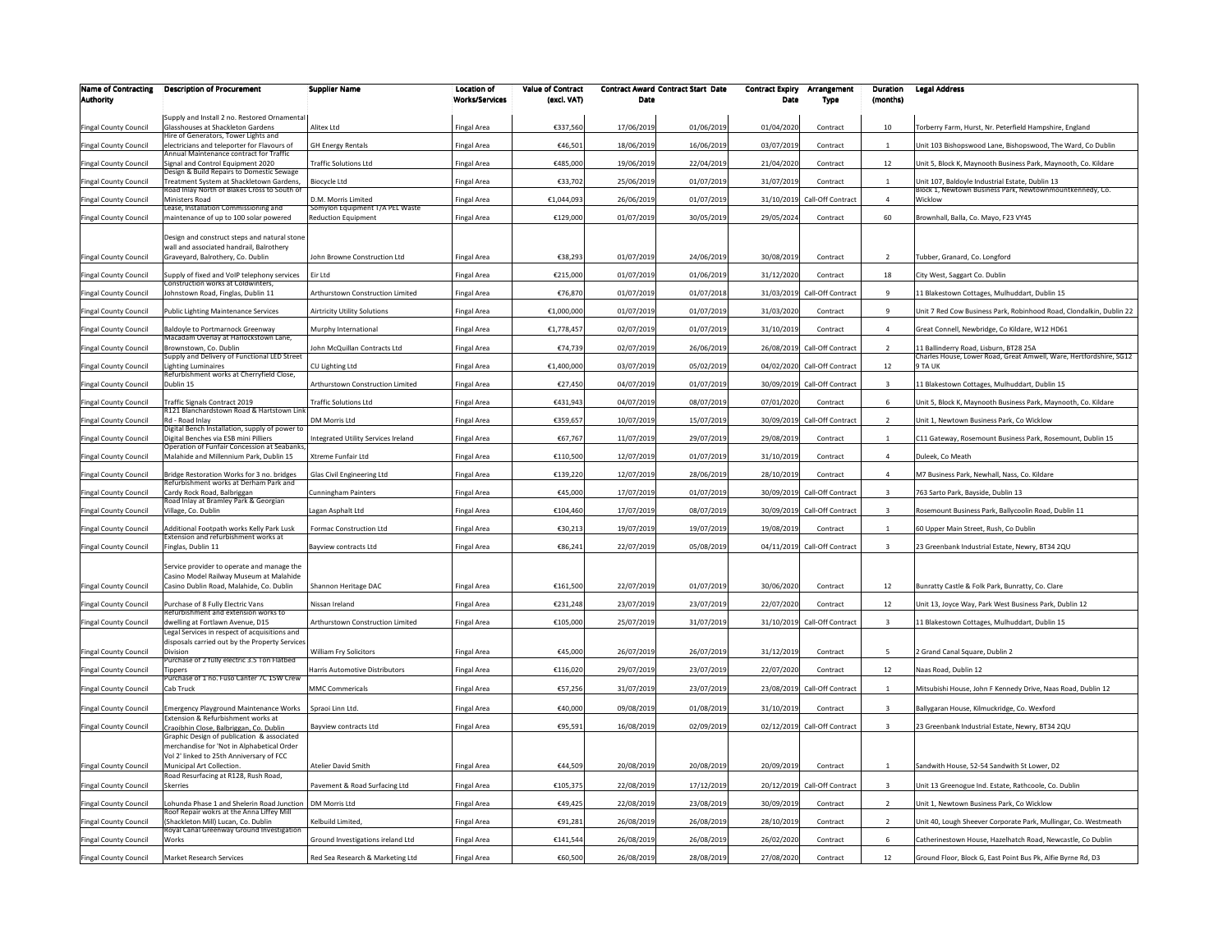| <b>Name of Contracting</b>   | <b>Description of Procurement</b>                                                               | <b>Supplier Name</b>                | <b>Location of</b>    | <b>Value of Contract</b> |            | <b>Contract Award Contract Start Date</b> | <b>Contract Expiry</b> | Arrangement                  | Duration                | <b>Legal Address</b>                                                |
|------------------------------|-------------------------------------------------------------------------------------------------|-------------------------------------|-----------------------|--------------------------|------------|-------------------------------------------|------------------------|------------------------------|-------------------------|---------------------------------------------------------------------|
| <b>Authority</b>             |                                                                                                 |                                     | <b>Works/Services</b> | (excl. VAT)              | Date       |                                           | Date                   | Type                         | (months)                |                                                                     |
|                              | Supply and Install 2 no. Restored Ornamenta                                                     |                                     |                       |                          |            |                                           |                        |                              |                         |                                                                     |
| <b>Fingal County Council</b> | Glasshouses at Shackleton Gardens<br>Hire of Generators, Tower Lights and                       | Alitex Ltd                          | Fingal Area           | €337,560                 | 17/06/2019 | 01/06/2019                                | 01/04/2020             | Contract                     | 10                      | Torberry Farm, Hurst, Nr. Peterfield Hampshire, England             |
| Fingal County Council        | electricians and teleporter for Flavours of<br>nnual Maintenance contract for Traffic           | <b>GH Energy Rentals</b>            | Fingal Area           | €46,501                  | 18/06/2019 | 16/06/2019                                | 03/07/2019             | Contract                     |                         | Unit 103 Bishopswood Lane, Bishopswood, The Ward, Co Dublin         |
| <b>Fingal County Council</b> | Signal and Control Equipment 2020                                                               | <b>Traffic Solutions Ltd</b>        | Fingal Area           | €485,000                 | 19/06/2019 | 22/04/2019                                | 21/04/2020             | Contract                     | 12                      | Jnit 5, Block K, Maynooth Business Park, Maynooth, Co. Kildare      |
| <b>Fingal County Council</b> | Design & Build Repairs to Domestic Sewage<br>reatment System at Shackletown Gardens,            | Biocycle Ltd                        | Fingal Area           | €33,702                  | 25/06/2019 | 01/07/2019                                | 31/07/2019             | Contract                     | $\overline{1}$          | Init 107, Baldoyle Industrial Estate, Dublin 13                     |
| Fingal County Council        | toad Inlay North of Blakes Cross to South of<br>Ministers Road                                  | D.M. Morris Limited                 | Fingal Area           | €1,044,093               | 26/06/2019 | 01/07/2019                                | 31/10/2019             | Call-Off Contract            | $\Delta$                | Block 1, Newtown Business Park, Newtownmountkennedy, Co.<br>Wicklow |
|                              | ease, Installation Commissioning and                                                            | Somylon Equipment T/A PEL Waste     |                       |                          |            |                                           |                        |                              |                         |                                                                     |
| <b>Fingal County Council</b> | maintenance of up to 100 solar powered                                                          | <b>Reduction Equipment</b>          | Fingal Area           | €129,000                 | 01/07/2019 | 30/05/2019                                | 29/05/2024             | Contract                     | 60                      | Brownhall, Balla, Co. Mayo, F23 VY45                                |
|                              | Design and construct steps and natural stone                                                    |                                     |                       |                          |            |                                           |                        |                              |                         |                                                                     |
| Fingal County Council        | wall and associated handrail, Balrothery<br>Graveyard, Balrothery, Co. Dublin                   | John Browne Construction Ltd        | Fingal Area           | €38,293                  | 01/07/2019 | 24/06/2019                                | 30/08/2019             | Contract                     | $\overline{2}$          | Fubber, Granard, Co. Longford                                       |
|                              |                                                                                                 |                                     |                       |                          |            |                                           |                        |                              |                         |                                                                     |
| <b>Fingal County Council</b> | Supply of fixed and VoIP telephony services<br>onstruction works at Coldwinters                 | Eir Ltd                             | Fingal Area           | €215,000                 | 01/07/2019 | 01/06/2019                                | 31/12/2020             | Contract                     | 18                      | City West, Saggart Co. Dublin                                       |
| <b>Fingal County Council</b> | Johnstown Road, Finglas, Dublin 11                                                              | Arthurstown Construction Limited    | Fingal Area           | €76,870                  | 01/07/2019 | 01/07/2018                                | 31/03/2019             | Call-Off Contract            | $\mathbf{q}$            | 1 Blakestown Cottages, Mulhuddart, Dublin 15                        |
| <b>Fingal County Council</b> | Public Lighting Maintenance Services                                                            | <b>Airtricity Utility Solutions</b> | Fingal Area           | €1,000,000               | 01/07/2019 | 01/07/2019                                | 31/03/2020             | Contract                     | $\overline{9}$          | Jnit 7 Red Cow Business Park, Robinhood Road, Clondalkin, Dublin 22 |
| <b>Fingal County Council</b> | Baldoyle to Portmarnock Greenway                                                                | Murphy International                | Fingal Area           | €1,778,457               | 02/07/2019 | 01/07/2019                                | 31/10/2019             | Contract                     | $\overline{a}$          | Great Connell, Newbridge, Co Kildare, W12 HD61                      |
| <b>Fingal County Council</b> | Macadam Overlay at Harlockstown Lane,<br>Brownstown, Co. Dublin                                 | John McQuillan Contracts Ltd        | Fingal Area           | €74,739                  | 02/07/2019 | 26/06/2019                                | 26/08/2019             | Call-Off Contract            | $\overline{z}$          | 1 Ballinderry Road, Lisburn, BT28 25A                               |
|                              | Supply and Delivery of Functional LED Street                                                    |                                     |                       |                          |            |                                           |                        |                              |                         | Charles House, Lower Road, Great Amwell, Ware, Hertfordshire, SG12  |
| Fingal County Council        | ighting Luminaires<br>tefurbishment works at Cherryfield Close,                                 | CU Lighting Ltd                     | Fingal Area           | €1,400,000               | 03/07/2019 | 05/02/2019                                |                        | 04/02/2020 Call-Off Contract | 12                      | TA UK                                                               |
| Fingal County Council        | Dublin 15                                                                                       | Arthurstown Construction Limited    | Fingal Area           | €27,450                  | 04/07/2019 | 01/07/2019                                | 30/09/2019             | Call-Off Contract            | $\overline{\mathbf{3}}$ | 1 Blakestown Cottages, Mulhuddart, Dublin 15                        |
| Fingal County Council        | Fraffic Signals Contract 2019                                                                   | <b>Traffic Solutions Ltd</b>        | Fingal Area           | €431,943                 | 04/07/2019 | 08/07/2019                                | 07/01/2020             | Contract                     | 6                       | Jnit 5, Block K, Maynooth Business Park, Maynooth, Co. Kildare      |
| ingal County Council         | 121 Blanchardstown Road & Hartstown Lir<br>Rd - Road Inlay                                      | <b>DM Morris Ltd</b>                | Fingal Area           | €359,657                 | 10/07/2019 | 15/07/2019                                | 30/09/2019             | Call-Off Contract            | $\overline{2}$          | Jnit 1, Newtown Business Park, Co Wicklow                           |
|                              | Digital Bench Installation, supply of power to                                                  |                                     |                       |                          |            |                                           |                        |                              |                         |                                                                     |
| Fingal County Council        | Digital Benches via ESB mini Pilliers<br>Operation of Funfair Concession at Seabanks            | Integrated Utility Services Ireland | Fingal Area           | €67,767                  | 11/07/2019 | 29/07/2019                                | 29/08/2019             | Contract                     | $\mathbf{1}$            | C11 Gateway, Rosemount Business Park, Rosemount, Dublin 15          |
| Fingal County Council        | Malahide and Millennium Park, Dublin 15                                                         | Xtreme Funfair Ltd                  | Fingal Area           | €110,500                 | 12/07/2019 | 01/07/2019                                | 31/10/2019             | Contract                     | $\overline{4}$          | Duleek, Co Meath                                                    |
| Fingal County Council        | Bridge Restoration Works for 3 no. bridges                                                      | Glas Civil Engineering Ltd          | Fingal Area           | €139,220                 | 12/07/2019 | 28/06/2019                                | 28/10/2019             | Contract                     | $\Delta$                | M7 Business Park, Newhall, Nass, Co. Kildare                        |
| Fingal County Council        | tefurbishment works at Derham Park and<br>Cardy Rock Road, Balbriggan                           | <b>Cunningham Painters</b>          | Fingal Area           | €45,000                  | 17/07/2019 | 01/07/2019                                |                        | 30/09/2019 Call-Off Contract | $\mathbf{3}$            | 763 Sarto Park, Bayside, Dublin 13                                  |
| <b>Fingal County Council</b> | Road Inlay at Bramley Park & Georgian<br>Village, Co. Dublin                                    | Lagan Asphalt Ltd                   | Fingal Area           | €104,460                 | 17/07/2019 | 08/07/2019                                |                        | 30/09/2019 Call-Off Contract | $\overline{3}$          | Rosemount Business Park, Ballycoolin Road, Dublin 11                |
|                              |                                                                                                 |                                     |                       |                          |            |                                           |                        |                              |                         |                                                                     |
| <b>Fingal County Council</b> | Additional Footpath works Kelly Park Lusk<br>Extension and refurbishment works at               | Formac Construction Ltd             | Fingal Area           | €30,213                  | 19/07/2019 | 19/07/2019                                | 19/08/2019             | Contract                     | $\mathbf{1}$            | 60 Upper Main Street, Rush, Co Dublin                               |
| <b>Fingal County Council</b> | inglas, Dublin 11                                                                               | <b>Bavview contracts Ltd</b>        | Fingal Area           | €86,241                  | 22/07/2019 | 05/08/2019                                | 04/11/2019             | Call-Off Contract            | $\overline{\mathbf{3}}$ | 23 Greenbank Industrial Estate, Newry, BT34 2QU                     |
|                              | Service provider to operate and manage the                                                      |                                     |                       |                          |            |                                           |                        |                              |                         |                                                                     |
|                              | Casino Model Railway Museum at Malahide                                                         |                                     |                       |                          |            |                                           |                        |                              |                         |                                                                     |
| <b>Fingal County Council</b> | Casino Dublin Road, Malahide, Co. Dublin                                                        | Shannon Heritage DAC                | <b>Fingal Area</b>    | €161,500                 | 22/07/2019 | 01/07/2019                                | 30/06/2020             | Contract                     | 12                      | Bunratty Castle & Folk Park, Bunratty, Co. Clare                    |
| <b>Fingal County Council</b> | Purchase of 8 Fully Electric Vans<br>Refurbishment and extension works to                       | Nissan Ireland                      | Fingal Area           | €231,248                 | 23/07/2019 | 23/07/2019                                | 22/07/2020             | Contract                     | 12                      | Unit 13, Joyce Way, Park West Business Park, Dublin 12              |
| <b>Fingal County Council</b> | dwelling at Fortlawn Avenue, D15                                                                | Arthurstown Construction Limited    | Fingal Area           | €105,000                 | 25/07/2019 | 31/07/2019                                |                        | 31/10/2019 Call-Off Contract | $\overline{3}$          | 1 Blakestown Cottages, Mulhuddart, Dublin 15                        |
|                              | Legal Services in respect of acquisitions and<br>disposals carried out by the Property Service: |                                     |                       |                          |            |                                           |                        |                              |                         |                                                                     |
| Fingal County Council        | Division                                                                                        | William Fry Solicitors              | Fingal Area           | €45,000                  | 26/07/2019 | 26/07/2019                                | 31/12/2019             | Contract                     | -5                      | ! Grand Canal Square, Dublin 2                                      |
| <b>Fingal County Council</b> | urchase of 2 fully electric 3.5 Ton Flatbed<br><b>Tippers</b>                                   | Harris Automotive Distributors      | Fingal Area           | €116,020                 | 29/07/2019 | 23/07/2019                                | 22/07/2020             | Contract                     | 12                      | Naas Road, Dublin 12                                                |
| <b>Fingal County Council</b> | Purchase of 1 no. Fuso Canter 7C 15W Crew<br>Cab Truck                                          | <b>MMC Commericals</b>              | Fingal Area           | €57,256                  | 31/07/2019 | 23/07/2019                                | 23/08/2019             | Call-Off Contract            | $\mathbf{1}$            | Mitsubishi House, John F Kennedy Drive, Naas Road, Dublin 12        |
|                              |                                                                                                 |                                     |                       |                          |            |                                           |                        |                              |                         |                                                                     |
| Fingal County Council        | mergency Playground Maintenance Works<br>Extension & Refurbishment works at                     | Spraoi Linn Ltd.                    | Fingal Area           | €40,000                  | 09/08/2019 | 01/08/2019                                | 31/10/2019             | Contract                     | $\overline{\mathbf{3}}$ | Ballygaran House, Kilmuckridge, Co. Wexford                         |
| <b>Fingal County Council</b> | Craoibhin Close, Balbriggan, Co. Dublin                                                         | Bayview contracts Ltd               | Fingal Area           | €95,591                  | 16/08/2019 | 02/09/2019                                |                        | 02/12/2019 Call-Off Contract | $\overline{\mathbf{3}}$ | 23 Greenbank Industrial Estate, Newry, BT34 2QU                     |
|                              | Graphic Design of publication & associated<br>merchandise for 'Not in Alphabetical Order        |                                     |                       |                          |            |                                           |                        |                              |                         |                                                                     |
|                              | Vol 2' linked to 25th Anniversary of FCC                                                        |                                     |                       |                          |            |                                           |                        |                              |                         |                                                                     |
| Fingal County Council        | Municipal Art Collection.<br>Road Resurfacing at R128, Rush Road,                               | Atelier David Smith                 | Fingal Area           | €44,509                  | 20/08/2019 | 20/08/2019                                | 20/09/2019             | Contract                     | $\mathbf{1}$            | Sandwith House, 52-54 Sandwith St Lower, D2                         |
| <b>Fingal County Council</b> | Skerries                                                                                        | Pavement & Road Surfacing Ltd       | <b>Fingal Area</b>    | €105,375                 | 22/08/2019 | 17/12/2019                                | 20/12/2019             | Call-Off Contract            | $\overline{3}$          | Jnit 13 Greenogue Ind. Estate, Rathcoole, Co. Dublin                |
| <b>Fingal County Council</b> | ohunda Phase 1 and Shelerin Road Junction                                                       | DM Morris Ltd                       | Fingal Area           | €49,425                  | 22/08/2019 | 23/08/2019                                | 30/09/2019             | Contract                     | $\overline{2}$          | Jnit 1, Newtown Business Park, Co Wicklow                           |
| Fingal County Council        | Roof Repair wokrs at the Anna Liffey Mill<br>Shackleton Mill) Lucan, Co. Dublin                 | Kelbuild Limited.                   | Fingal Area           | €91,281                  | 26/08/2019 | 26/08/2019                                | 28/10/2019             | Contract                     | $\overline{2}$          | Jnit 40, Lough Sheever Corporate Park, Mullingar, Co. Westmeath     |
|                              | Royal Canal Greenway Ground Investigation                                                       |                                     |                       |                          |            |                                           |                        |                              |                         |                                                                     |
| Fingal County Council        | <b>Norks</b>                                                                                    | Ground Investigations ireland Ltd   | Fingal Area           | €141,544                 | 26/08/2019 | 26/08/2019                                | 26/02/2020             | Contract                     | 6                       | Catherinestown House, Hazelhatch Road, Newcastle, Co Dublin         |
| <b>Fingal County Council</b> | Market Research Services                                                                        | Red Sea Research & Marketing Ltd    | <b>Fingal Area</b>    | €60,500                  | 26/08/2019 | 28/08/2019                                | 27/08/2020             | Contract                     | $12\,$                  | Ground Floor, Block G, East Point Bus Pk, Alfie Byrne Rd, D3        |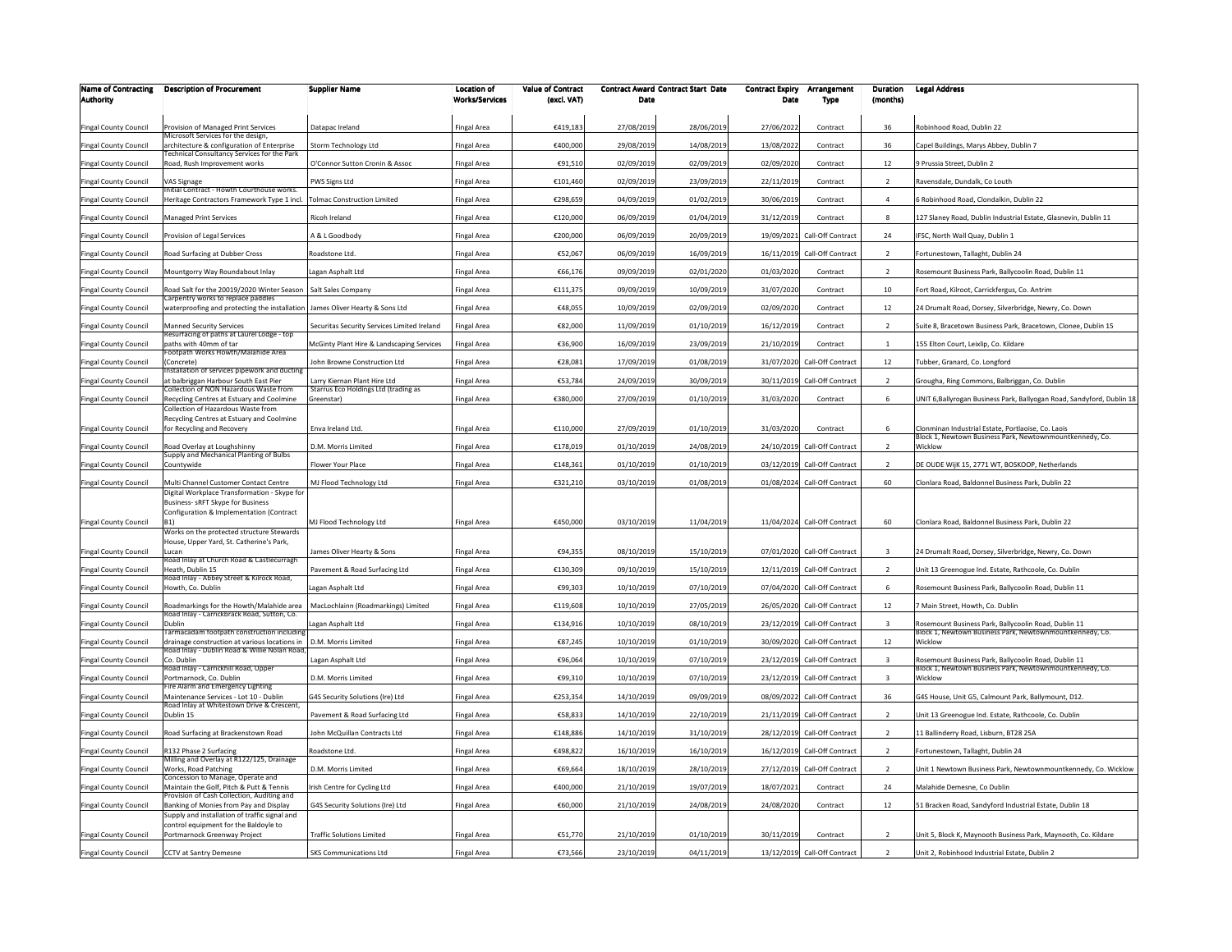| <b>Name of Contracting</b>   | <b>Description of Procurement</b>                                                             | <b>Supplier Name</b>                                                 | <b>Location of</b>    | <b>Value of Contract</b> |            | <b>Contract Award Contract Start Date</b> | <b>Contract Expiry</b> | Arrangement                  | Duration                | <b>Legal Address</b>                                                                                             |
|------------------------------|-----------------------------------------------------------------------------------------------|----------------------------------------------------------------------|-----------------------|--------------------------|------------|-------------------------------------------|------------------------|------------------------------|-------------------------|------------------------------------------------------------------------------------------------------------------|
| <b>Authority</b>             |                                                                                               |                                                                      | <b>Works/Services</b> | (excl. VAT)              | Date       |                                           | Date                   | Type                         | (months)                |                                                                                                                  |
| <b>Fingal County Council</b> | Provision of Managed Print Services                                                           | Datapac Ireland                                                      | Fingal Area           | €419,183                 | 27/08/2019 | 28/06/2019                                | 27/06/2022             | Contract                     | 36                      | Robinhood Road, Dublin 22                                                                                        |
| Fingal County Council        | Microsoft Services for the design<br>architecture & configuration of Enterprise               | Storm Technology Ltd                                                 | Fingal Area           | €400,000                 | 29/08/2019 | 14/08/2019                                | 13/08/2022             | Contract                     | 36                      | Capel Buildings, Marys Abbey, Dublin 7                                                                           |
| <b>Fingal County Council</b> | Fechnical Consultancy Services for the Park<br>Road, Rush Improvement works                   | O'Connor Sutton Cronin & Assoc                                       | Fingal Area           | €91,510                  | 02/09/2019 | 02/09/2019                                | 02/09/2020             | Contract                     | 12                      | 9 Prussia Street, Dublin 2                                                                                       |
| Fingal County Council        | <b>AS Signage</b>                                                                             | PWS Signs Ltd                                                        | Fingal Area           | €101,460                 | 02/09/2019 | 23/09/2019                                | 22/11/2019             | Contract                     | $\overline{z}$          | Ravensdale, Dundalk, Co Louth                                                                                    |
| <b>Fingal County Council</b> | nitial Contract - Howth Courthouse works.<br>Heritage Contractors Framework Type 1 incl.      | <b>Tolmac Construction Limited</b>                                   | Fingal Area           | €298,659                 | 04/09/2019 | 01/02/2019                                | 30/06/2019             | Contract                     |                         | 6 Robinhood Road, Clondalkin, Dublin 22                                                                          |
| <b>Fingal County Council</b> | <b>Managed Print Services</b>                                                                 | Ricoh Ireland                                                        | Fingal Area           | €120,000                 | 06/09/2019 | 01/04/2019                                | 31/12/2019             | Contract                     | 8                       | 127 Slaney Road, Dublin Industrial Estate, Glasnevin, Dublin 11                                                  |
| <b>Fingal County Council</b> | Provision of Legal Services                                                                   | A & L Goodbody                                                       | Fingal Area           | €200,000                 | 06/09/2019 | 20/09/2019                                | 19/09/2021             | Call-Off Contract            | 24                      | IFSC, North Wall Quay, Dublin 1                                                                                  |
| Fingal County Council        | Road Surfacing at Dubber Cross                                                                | Roadstone Ltd.                                                       | Fingal Area           | €52,067                  | 06/09/2019 | 16/09/2019                                | 16/11/2019             | Call-Off Contract            | $\overline{2}$          | Fortunestown, Tallaght, Dublin 24                                                                                |
| Fingal County Council        | Mountgorry Way Roundabout Inlay                                                               | Lagan Asphalt Ltd                                                    | ingal Area            | €66,176                  | 09/09/2019 | 02/01/2020                                | 01/03/2020             | Contract                     | $\overline{2}$          | Rosemount Business Park, Ballycoolin Road, Dublin 11                                                             |
| Fingal County Council        | Road Salt for the 20019/2020 Winter Season                                                    | Salt Sales Company                                                   | Fingal Area           | €111,375                 | 09/09/2019 | 10/09/2019                                | 31/07/2020             | Contract                     | 10                      | Fort Road, Kilroot, Carrickfergus, Co. Antrim                                                                    |
| Fingal County Council        | Carpentry works to replace paddles<br>waterproofing and protecting the installation           | James Oliver Hearty & Sons Ltd                                       | ingal Area            | €48,055                  | 10/09/2019 | 02/09/2019                                | 02/09/2020             | Contract                     | 12                      | 24 Drumalt Road, Dorsey, Silverbridge, Newry, Co. Down                                                           |
| Fingal County Council        | Manned Security Services                                                                      | Securitas Security Services Limited Ireland                          | <b>Fingal Area</b>    | €82,000                  | 11/09/2019 | 01/10/2019                                | 16/12/2019             | Contract                     | $\overline{2}$          | Suite 8, Bracetown Business Park, Bracetown, Clonee, Dublin 15                                                   |
|                              | Resurfacing of paths at Laurel Lodge - top<br>baths with 40mm of tar                          | McGinty Plant Hire & Landscaping Services                            |                       | €36,900                  | 16/09/2019 | 23/09/2019                                | 21/10/2019             | Contract                     |                         |                                                                                                                  |
| <b>Fingal County Council</b> | ootpath Works Howth/Malahide Area                                                             |                                                                      | Fingal Area           |                          |            |                                           |                        |                              |                         | 155 Elton Court, Leixlip, Co. Kildare                                                                            |
| <b>Fingal County Council</b> | Concrete)<br>nstallation of services pipework and ducting                                     | John Browne Construction Ltd                                         | Fingal Area           | €28,081                  | 17/09/2019 | 01/08/2019                                |                        | 31/07/2020 Call-Off Contract | 12                      | Tubber, Granard, Co. Longford                                                                                    |
| Fingal County Council        | at balbriggan Harbour South East Pier<br>Collection of NON Hazardous Waste from               | Larry Kiernan Plant Hire Ltd<br>Starrus Eco Holdings Ltd (trading as | Fingal Area           | €53,784                  | 24/09/2019 | 30/09/201                                 | 30/11/2019             | Call-Off Contract            | $\overline{2}$          | Grougha, Ring Commons, Balbriggan, Co. Dublin                                                                    |
| Fingal County Council        | Recycling Centres at Estuary and Coolmine<br>Collection of Hazardous Waste from               | Greenstar)                                                           | Fingal Area           | €380,000                 | 27/09/2019 | 01/10/2019                                | 31/03/2020             | Contract                     | 6                       | JNIT 6, Ballyrogan Business Park, Ballyogan Road, Sandyford, Dublin 18                                           |
| <b>Fingal County Council</b> | Recycling Centres at Estuary and Coolmine<br>for Recycling and Recovery                       | Enva Ireland Ltd.                                                    | Fingal Area           | €110,000                 | 27/09/2019 | 01/10/2019                                | 31/03/2020             | Contract                     | 6                       | Clonminan Industrial Estate, Portlaoise, Co. Laois                                                               |
| Fingal County Council        | Road Overlay at Loughshinny                                                                   | D.M. Morris Limited                                                  | Fingal Area           | €178,019                 | 01/10/2019 | 24/08/2019                                |                        | 24/10/2019 Call-Off Contract |                         | Block 1, Newtown Business Park, Newtownmountkennedy, Co.<br>Wicklow                                              |
| <b>Fingal County Council</b> | Supply and Mechanical Planting of Bulbs<br>Countywide                                         | Flower Your Place                                                    | Fingal Area           | €148,361                 | 01/10/2019 | 01/10/2019                                | 03/12/2019             | Call-Off Contract            | $\overline{2}$          | DE OUDE WijK 15, 2771 WT, BOSKOOP, Netherlands                                                                   |
| Fingal County Council        | Multi Channel Customer Contact Centre                                                         | MJ Flood Technology Ltd                                              | Fingal Area           | €321,210                 | 03/10/2019 | 01/08/2019                                |                        | 01/08/2024 Call-Off Contract | 60                      | Clonlara Road, Baldonnel Business Park, Dublin 22                                                                |
|                              | Digital Workplace Transformation - Skype for                                                  |                                                                      |                       |                          |            |                                           |                        |                              |                         |                                                                                                                  |
|                              | Business- sRFT Skype for Business<br>Configuration & Implementation (Contract                 |                                                                      |                       |                          |            |                                           |                        |                              |                         |                                                                                                                  |
| Fingal County Council        | B <sub>1</sub> )<br>Works on the protected structure Stewards                                 | MJ Flood Technology Ltd                                              | Fingal Area           | €450,000                 | 03/10/2019 | 11/04/2019                                |                        | 11/04/2024 Call-Off Contract | 60                      | Clonlara Road, Baldonnel Business Park, Dublin 22                                                                |
| Fingal County Council        | House, Upper Yard, St. Catherine's Park,<br>Lucan                                             | James Oliver Hearty & Sons                                           | Fingal Area           | €94,355                  | 08/10/2019 | 15/10/2019                                |                        | 07/01/2020 Call-Off Contract | $\overline{\mathbf{3}}$ | 24 Drumalt Road, Dorsey, Silverbridge, Newry, Co. Down                                                           |
| <b>Fingal County Council</b> | Road Inlay at Church Road & Castlecurragh<br>Heath, Dublin 15                                 | Pavement & Road Surfacing Ltd                                        | Fingal Area           | €130,309                 | 09/10/2019 | 15/10/2019                                |                        | 12/11/2019 Call-Off Contract | $\overline{2}$          | Unit 13 Greenogue Ind. Estate, Rathcoole, Co. Dublin                                                             |
|                              | Road Inlay - Abbey Street & Kilrock Road,<br>Howth, Co. Dublin                                | Lagan Asphalt Ltd                                                    | Fingal Area           | €99,303                  | 10/10/2019 | 07/10/2019                                | 07/04/2020             | Call-Off Contract            | 6                       | Rosemount Business Park, Ballycoolin Road, Dublin 11                                                             |
| Fingal County Council        |                                                                                               |                                                                      |                       |                          |            |                                           |                        |                              |                         |                                                                                                                  |
| <b>Fingal County Council</b> | Roadmarkings for the Howth/Malahide area<br>Road Inlay - Carrickbrack Road, Sutton, Co.       | MacLochlainn (Roadmarkings) Limited                                  | Fingal Area           | €119,608                 | 10/10/2019 | 27/05/2019                                | 26/05/2020             | Call-Off Contract            | 12                      | 7 Main Street, Howth, Co. Dublin                                                                                 |
| Fingal County Council        | Dublin<br>Farmacadam footpath construction includin                                           | agan Asphalt Ltd                                                     | Fingal Area           | €134,916                 | 10/10/2019 | 08/10/2019                                | 23/12/2019             | Call-Off Contract            | $\overline{\mathbf{3}}$ | Rosemount Business Park, Ballycoolin Road, Dublin 11<br>Block 1. Newtown Business Park, Newtownmountkennedy, Co. |
| <b>Fingal County Council</b> | drainage construction at various locations in<br>Road Inlay - Dublin Road & Willie Nolan Road | D.M. Morris Limited                                                  | Fingal Area           | €87,245                  | 10/10/2019 | 01/10/2019                                |                        | 30/09/2020 Call-Off Contract | 12                      | Wicklow                                                                                                          |
| <b>Fingal County Council</b> | Co. Dublin<br>Road Inlay - Carrickhill Road, Upper                                            | Lagan Asphalt Ltd                                                    | Fingal Area           | €96,064                  | 10/10/2019 | 07/10/2019                                | 23/12/2019             | Call-Off Contract            | $\overline{3}$          | Rosemount Business Park, Ballycoolin Road, Dublin 11<br>Block 1, Newtown Business Park, Newtownmountkennedy, Co. |
| <b>Fingal County Council</b> | ortmarnock, Co. Dublin<br>ire Alarm and Emergency Lighting                                    | D.M. Morris Limited                                                  | Fingal Area           | €99,310                  | 10/10/2019 | 07/10/2019                                | 23/12/2019             | Call-Off Contract            | $\overline{\mathbf{3}}$ | Wicklow                                                                                                          |
| Fingal County Council        | Maintenance Services - Lot 10 - Dublin<br>Road Inlay at Whitestown Drive & Crescent,          | G4S Security Solutions (Ire) Ltd                                     | Fingal Area           | €253,354                 | 14/10/2019 | 09/09/2019                                |                        | 08/09/2022 Call-Off Contract | 36                      | G4S House, Unit G5, Calmount Park, Ballymount, D12.                                                              |
| <b>Fingal County Council</b> | Oublin 15                                                                                     | Pavement & Road Surfacing Ltd                                        | Fingal Area           | €58,833                  | 14/10/2019 | 22/10/2019                                | 21/11/2019             | Call-Off Contract            | $\overline{2}$          | Jnit 13 Greenogue Ind. Estate, Rathcoole, Co. Dublin                                                             |
| Fingal County Council        | Road Surfacing at Brackenstown Road                                                           | John McQuillan Contracts Ltd                                         | Fingal Area           | €148,886                 | 14/10/2019 | 31/10/2019                                | 28/12/2019             | Call-Off Contract            | $\overline{2}$          | 11 Ballinderry Road, Lisburn, BT28 25A                                                                           |
| Fingal County Council        | R132 Phase 2 Surfacing<br>Milling and Overlay at R122/125, Drainage                           | Roadstone Ltd                                                        | Fingal Area           | €498,822                 | 16/10/2019 | 16/10/2019                                | 16/12/2019             | Call-Off Contract            | $\overline{z}$          | Fortunestown, Tallaght, Dublin 24                                                                                |
| Fingal County Council        | Works, Road Patching                                                                          | D.M. Morris Limited                                                  | Fingal Area           | €69,664                  | 18/10/2019 | 28/10/2019                                |                        | 27/12/2019 Call-Off Contract | $\overline{2}$          | Unit 1 Newtown Business Park, Newtownmountkennedy, Co. Wicklow                                                   |
| <b>Fingal County Council</b> | Concession to Manage, Operate and<br>Maintain the Golf, Pitch & Putt & Tennis                 | Irish Centre for Cycling Ltd                                         | Fingal Area           | €400,000                 | 21/10/2019 | 19/07/2019                                | 18/07/2021             | Contract                     | 24                      | Malahide Demesne, Co Dublin                                                                                      |
| <b>Fingal County Council</b> | rovision of Cash Collection, Auditing and<br>Banking of Monies from Pay and Display           | G4S Security Solutions (Ire) Ltd                                     | Fingal Area           | €60,000                  | 21/10/2019 | 24/08/2019                                | 24/08/2020             | Contract                     | 12                      | 51 Bracken Road, Sandyford Industrial Estate, Dublin 18                                                          |
|                              | Supply and installation of traffic signal and<br>control equipment for the Baldoyle to        |                                                                      |                       |                          |            |                                           |                        |                              |                         |                                                                                                                  |
| <b>Fingal County Council</b> | Portmarnock Greenway Project                                                                  | <b>Traffic Solutions Limited</b>                                     | Fingal Area           | €51,770                  | 21/10/2019 | 01/10/2019                                | 30/11/2019             | Contract                     | $\overline{z}$          | Unit 5, Block K, Maynooth Business Park, Maynooth, Co. Kildare                                                   |
| Fingal County Council        | CCTV at Santry Demesne                                                                        | <b>SKS Communications Ltd</b>                                        | Fingal Area           | €73,566                  | 23/10/2019 | 04/11/2019                                |                        | 13/12/2019 Call-Off Contract | $\overline{2}$          | Unit 2, Robinhood Industrial Estate, Dublin 2                                                                    |